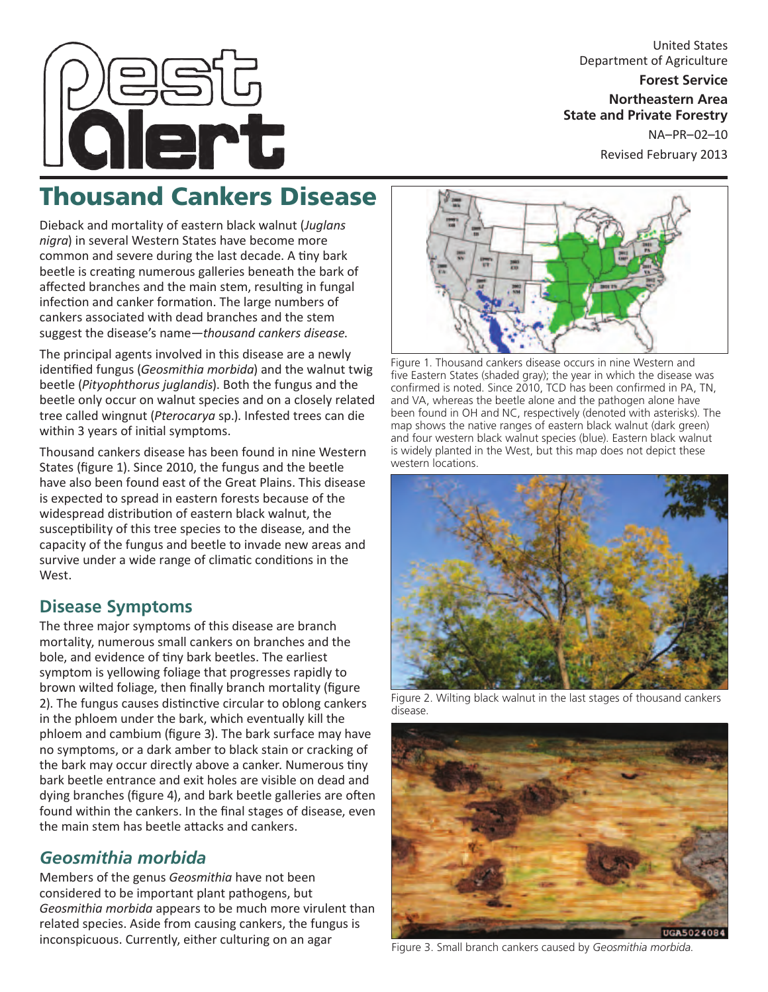

United States Department of Agriculture **Forest Service Northeastern Area**

**State and Private Forestry** NA–PR–02–10

Revised February 2013

# Thousand Cankers Disease

Dieback and mortality of eastern black walnut (*Juglans nigra*) in several Western States have become more common and severe during the last decade. A tiny bark beetle is creating numerous galleries beneath the bark of affected branches and the main stem, resulting in fungal infection and canker formation. The large numbers of cankers associated with dead branches and the stem suggest the disease's name—*thousand cankers disease*.

The principal agents involved in this disease are a newly identified fungus (*Geosmithia morbida*) and the walnut twig beetle (*Pityophthorus juglandis*). Both the fungus and the beetle only occur on walnut species and on a closely related tree called wingnut (*Pterocarya* sp.). Infested trees can die within 3 years of initial symptoms.

Thousand cankers disease has been found in nine Western States (figure 1). Since 2010, the fungus and the beetle have also been found east of the Great Plains. This disease is expected to spread in eastern forests because of the widespread distribution of eastern black walnut, the susceptibility of this tree species to the disease, and the capacity of the fungus and beetle to invade new areas and survive under a wide range of climatic conditions in the West.

# **Disease Symptoms**

The three major symptoms of this disease are branch mortality, numerous small cankers on branches and the bole, and evidence of tiny bark beetles. The earliest symptom is yellowing foliage that progresses rapidly to brown wilted foliage, then finally branch mortality (figure 2). The fungus causes distinctive circular to oblong cankers in the phloem under the bark, which eventually kill the phloem and cambium (figure 3). The bark surface may have no symptoms, or a dark amber to black stain or cracking of the bark may occur directly above a canker. Numerous tiny bark beetle entrance and exit holes are visible on dead and dying branches (figure 4), and bark beetle galleries are often found within the cankers. In the final stages of disease, even the main stem has beetle attacks and cankers.

# *Geosmithia morbida*

Members of the genus *Geosmithia* have not been considered to be important plant pathogens, but *Geosmithia morbida* appears to be much more virulent than related species. Aside from causing cankers, the fungus is inconspicuous. Currently, either culturing on an agar



Figure 1. Thousand cankers disease occurs in nine Western and five Eastern States (shaded gray); the year in which the disease was confirmed is noted. Since 2010, TCD has been confirmed in PA, TN, and VA, whereas the beetle alone and the pathogen alone have been found in OH and NC, respectively (denoted with asterisks). The map shows the native ranges of eastern black walnut (dark green) and four western black walnut species (blue). Eastern black walnut is widely planted in the West, but this map does not depict these western locations.



Figure 2. Wilting black walnut in the last stages of thousand cankers disease.



Figure 3. Small branch cankers caused by *Geosmithia morbida*.